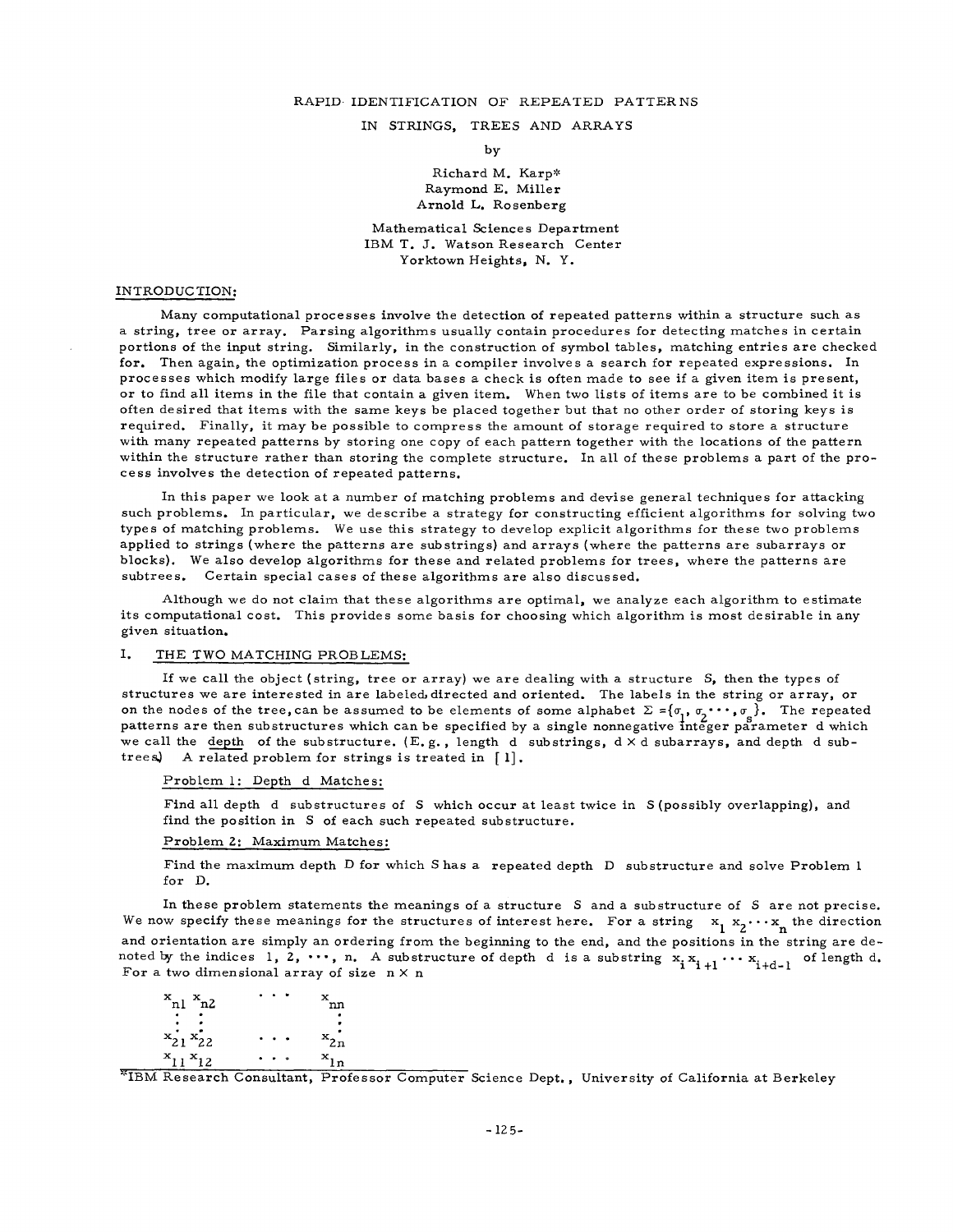## RAPID. IDENTIFICATION OF REPEATED PATTERNS

### IN STRINGS, TREES AND ARRAYS

by

## Richard M. Karp\* Raymond E. Miller Arnold L. Rosenberg

## Mathematical Sciences Department IBM **T. J.** Watson Research Center Yorktown Heights, N. Y.

### INTRODUCTION:

Many computational processes involve the detection of repeated patterns within a structure such as a string, tree or array. Parsing algorithms usually contain procedures for detecting matches in certain portions of the input string. Similarly, in the construction of symbol tables, matching entries are checked for. Then again, the optimization process in a compiler involves a search for repeated expressions. In processes which modify large files or data bases a check is often made to see if a given item is present, or to find all items in the file that contain a given item. When two lists of items are to be combined it is often desired that items with the same keys be placed together but that no other order of storing keys is required. Finally, it may be possible to compress the amount of storage required to store a structure with many repeated patterns by storing one copy of each pattern together with the locations of the pattern within the structure rather than storing the complete structure. In all of these problems a part of the process involves the detection of repeated patterns.

In this paper we look at a number of matching problems and devise general techniques for attacking such problems. In particular, we describe a strategy for constructing efficient algorithms for solving two types of matching problems. We use this strategy to develop explicit algorithms for these two problems applied to strings (where the patterns are substrings) and arrays {where the patterns are subarrays or blocks). We also develop algorithms for these and related problems for trees, where the patterns are subtrees. Certain special cases of these algorithms are also discussed.

Although we do not claim that these algorithms are optimal, we analyze each algorithm to estimate its computational cost. This provides some basis for choosing which algorithm is most desirable in any given situation.

#### I. THE TWO MATCHING PROBLEMS:

If we call the object (string, tree or array) we are dealing with a structure  $S<sub>s</sub>$ , then the types of structures we are interested in are labeled, directed and oriented. The labels in the string or array, or on the nodes of the tree, can be assumed to be elements of some alphabet  $\Sigma = \{\sigma_1, \sigma_2 \cdots, \sigma_n\}$ . The repeated patterns are then substructures which can be specified by a single nonnegative integer parameter d which we call the depth of the substructure. (E.g., length d substrings,  $d \times d$  subarrays, and depth d subtrees) A related problem for strings is treated in  $[1]$ .

### Problem 1: Depth d Matches:

Find all depth d substructures of S which occur at least twice in S (possibly overlapping}, and find the position in S of each such repeated substructure.

### Problem 2: Maximum Matches:

Find the maximum depth D for which S has a repeated depth D substructure and solve Problem 1 for D.

In these problem statements the meanings of a structure S and a substructure of S are not precise. We now specify these meanings for the structures of interest here. For a string  $x_1 x_2 \cdots x_n$  the direction and orientation are simply an ordering from the beginning to the end, and the positions in the string are denoted by the indices 1, 2,  $\cdots$ , n. A substructure of depth d is a substring  $x_i x_{i+1} \cdots x_{i+d-1}$  of length d. For a two dimensional array of size  $n \times n$ 

| 'nn      |
|----------|
|          |
|          |
|          |
| $x_{2n}$ |
| х.<br>Ιn |
|          |

"IBM Research Consultant, Professor Computer Science Dept., University of California at Berkeley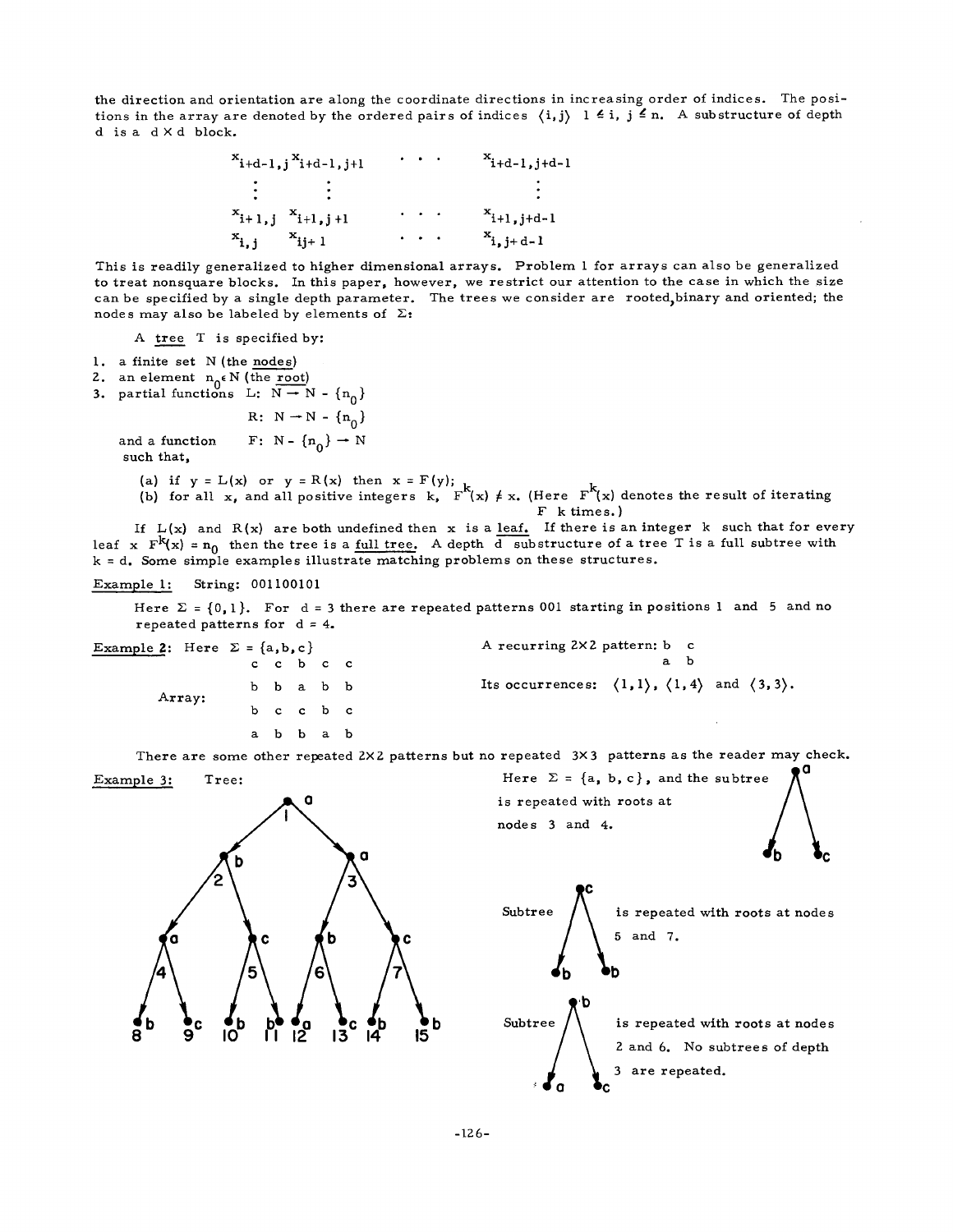the direction and orientation are along the coordinate directions in increasing order of indices. The positions in the array are denoted by the ordered pairs of indices  $\, \langle \, \mathrm{i}, \mathrm{j} \rangle \,$  1  $\, \in$  i,  $\, \mathrm{j} \,$   $\, \subseteq$  n. A substructure of depth d is a d × d block.

$$
x_{i+d-1,j}x_{i+d-1,j+1} \t x_{i+d-1,j+d-1}
$$
\n
$$
\vdots \t x_{i+1,j}x_{i+1,j+1} \t x_{i+1}x_{i+1} \t x_{i+1} \t x_{i+1}
$$

This is readily generalized to higher dimensional arrays. Problem 1 for arrays can also be generalized to treat nonsquare blocks. In this paper, however, we restrict our attention to the case in which the size can be specified by a single depth parameter. The trees we consider are rooted, binary and oriented; the nodes may also be labeled by elements of  $\Sigma$ :

A tree T is specified by:

- 1. a finite set N (the nodes)
- 2. an element  $n_0 \in N$  (the root)
- **3.** partial functions L:  $N \rightarrow N \{n_0\}$

R:  $N \rightarrow N - {n_0}$ 

and a function F: N -  ${n_0}$  + N such that,

- (a) if  $y = L(x)$  or  $y = K(x)$  then  $x = F(y)$ ;  $L$
- (b) for all  $x_i$ , and all positive integers  $k_i$ , F (x)  $\neq x_i$  (Here F (x) denotes the result of iterating F k times. )

If  $L(x)$  and  $R(x)$  are both undefined then x is a leaf. If there is an integer k such that for every leaf x  $F^{k}(x) = n_0$  then the tree is a full tree. A depth d substructure of a tree T is a full subtree with k = d. Some simple examples illustrate matching problems on these structures.

### Example I: String: 001100101

Here  $\Sigma = \{0, 1\}$ . For d = 3 there are repeated patterns 001 starting in positions 1 and 5 and no repeated patterns for  $d = 4$ .

| Example 2: Here $\Sigma = \{a, b, c\}$ |           |  | A recurring 2×2 pattern: b c                                                               |  |     |  |  |
|----------------------------------------|-----------|--|--------------------------------------------------------------------------------------------|--|-----|--|--|
|                                        | c c b c c |  |                                                                                            |  | a b |  |  |
| Array:                                 | b b a b b |  | Its occurrences: $\langle 1,1 \rangle$ , $\langle 1,4 \rangle$ and $\langle 3,3 \rangle$ . |  |     |  |  |
|                                        | b c c b c |  |                                                                                            |  |     |  |  |
|                                        | a b b a b |  |                                                                                            |  |     |  |  |
|                                        |           |  |                                                                                            |  |     |  |  |

There are some other repeated 2×2 patterns but no repeated 3×3 patterns as the reader may check.







**:~ U 0 ~C**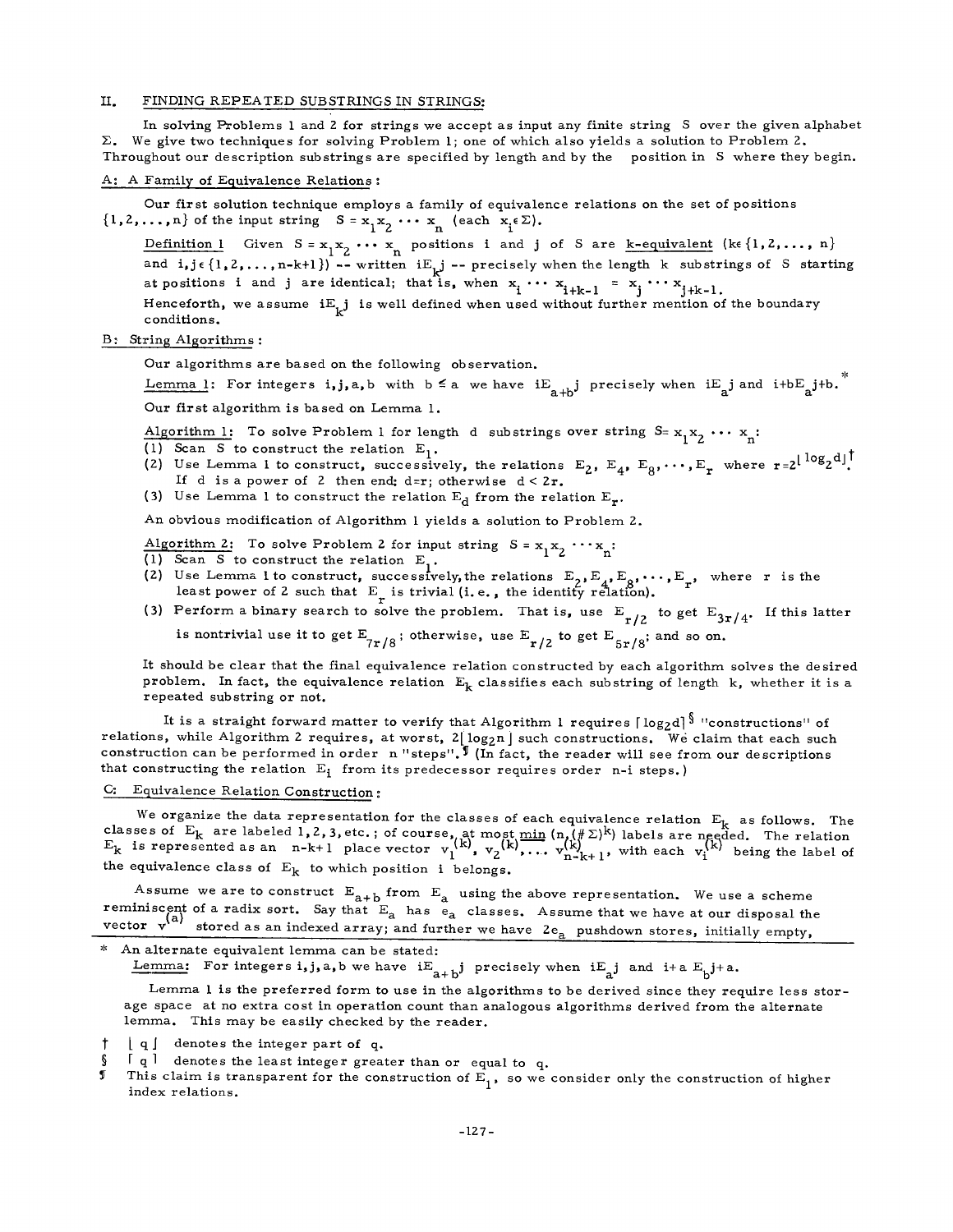### II. FINDING REPEATED SUBSTRINGS IN STRINGS:

In solving Problems i and Z for strings we accept as input any finite string S over the given alphabet  $\Sigma$ . We give two techniques for solving Problem 1; one of which also yields a solution to Problem 2. Throughout our description substrings are specified by length and by the position in S where they begin.

#### A: A Family of Equivalence Relations :

Our first solution technique employs a family of equivalence relations on the set of positions  $\{1,2,\ldots,n\}$  of the input string  $S = x_1x_2 \cdots x_n$  (each  $x_i \in \Sigma$ ).

Definition 1 Given  $S = x_1x_2 \cdots x_n$  positions i and j of S are k-equivalent (ke {1, 2, ..., n} and  $i, j \in \{1, 2, ..., n-k+1\}$  -- written  $iE_{i,j}$  -- precisely when the length k substrings of S starting at positions i and j are identical; that is, when  $x_i \cdots x_{i+k-1} = x_j \cdots x_{j+k-1}$ .

Henceforth, we assume  $iE_{\downarrow}j$  is well defined when used without further mention of the boundary conditions.

### B: String Algorithms :

Our algorithms are based on the following observation.

Lemma 1: For integers i,j,a,b with  $b \le a$  we have  $iE_{a+b}$  precisely when  $iE_{a}$  and  $i+bE_{a}$  j+b.

Our first algorithm is based on Lemma 1.

Algorithm 1: To solve Problem 1 for length d substrings over string  $S = x_1x_2 \cdots x_n$ :

(1) Scan S to construct the relation  $E_1$ .

- (2) Use Lemma 1 to construct, successively, the relations  $E_2$ ,  $E_4$ ,  $E_8$ ,..., $E_r$  where  $r=2^{\lfloor \log_2 d \rfloor}$ . If d is a power of 2 then end:  $d=r$ ; otherwise  $d < 2r$ .
- (3) Use Lemma 1 to construct the relation  $E_d$  from the relation  $E_r$ .

An obvious modification of Algorithm I yields a solution to Problem 2.

- Algorithm 2: To solve Problem 2 for input string  $S = x_1x_2 \cdots x_n$ :
- (1) Scan S to construct the relation  $E_1$ .
- (2) Use Lemma I to construct, successively, the relations  $E_2, E_1, E_2, \cdots, E_n$ , where r is the least power of Z such that E is trivial (i. e., the identity relation).
- (3) Perform a binary search to solve the problem. That is, use  $E_{n,12}$  to get  $E_{2n/4}$ . If this latter

is nontrivial use it to get  $E_{7r/8}$ ; otherwise, use  $E_{r/2}$  to get  $E_{5r/8}$ ; and so on.

It should be clear that the final equivalence relation constructed by each algorithm solves the desired problem. In fact, the equivalence relation  $E_k$  classifies each substring of length k, whether it is a repeated substring or not.

It is a straight forward matter to verify that Algorithm 1 requires  $\lceil \log_2 d \rceil^{\frac{5}{3}}$  "constructions" of relations, while Algorithm 2 requires, at worst,  $2\lfloor \log_2 n \rfloor$  such constructions. We claim that each such construction can be performed in order n "steps".  $\sqrt{I(n)}$  (In fact, the reader will see from our descriptions that constructing the relation  $E_i$  from its predecessor requires order n-i steps.)

# C: Equivalence Relation Construction :

We organize the data representation for the classes of each equivalence relation  $E_L$  as follows. The classes of E<sub>k</sub> are labeled 1,2,3,etc.; of course, at most min  $(n,(\#\Sigma)^{k})$  labels are needed. The relation  $E_k$  is represented as an n-k+1 place vector  $v_1^{x_1}, v_2^{x_2}, \ldots, v_{n}^{x_{n}}$ , with each  $v_i^{x_i}$  being the label of the equivalence class of  $E_k$  to which position i belongs.

Assume we are to construct  $E_{a+b}$  from  $E_a$  using the above representation. We use a scheme reminiscent of a radix sort. Say that  $E_a$  has  $e_a$  classes. Assume that we have at our disposal the vector  $\bf v$  arrored as an indexed array; and further we have  $2e_{\rm s}$  pushdown stores, initially empty,

An alternate equivalent lemma can be stated:

Lemma: For integers i, j, a, b we have  $iE_{a+b}$  precisely when  $iE_{a}$  and  $i+a E_{b}$  j+a.

Lemma I is the preferred form to use in the algorithms to be derived since they require less storage space at no extra cost in operation count than analogous algorithms derived from the alternate lemma. This may be easily checked by the reader.

 $\lfloor q \rfloor$  denotes the integer part of q.

 $\S$  [ q ] denotes the least integer greater than or equal to q.<br>I This claim is transparent for the construction of  $F$  so we

This claim is transparent for the construction of  $\vec{E}_1$ , so we consider only the construction of higher index relations.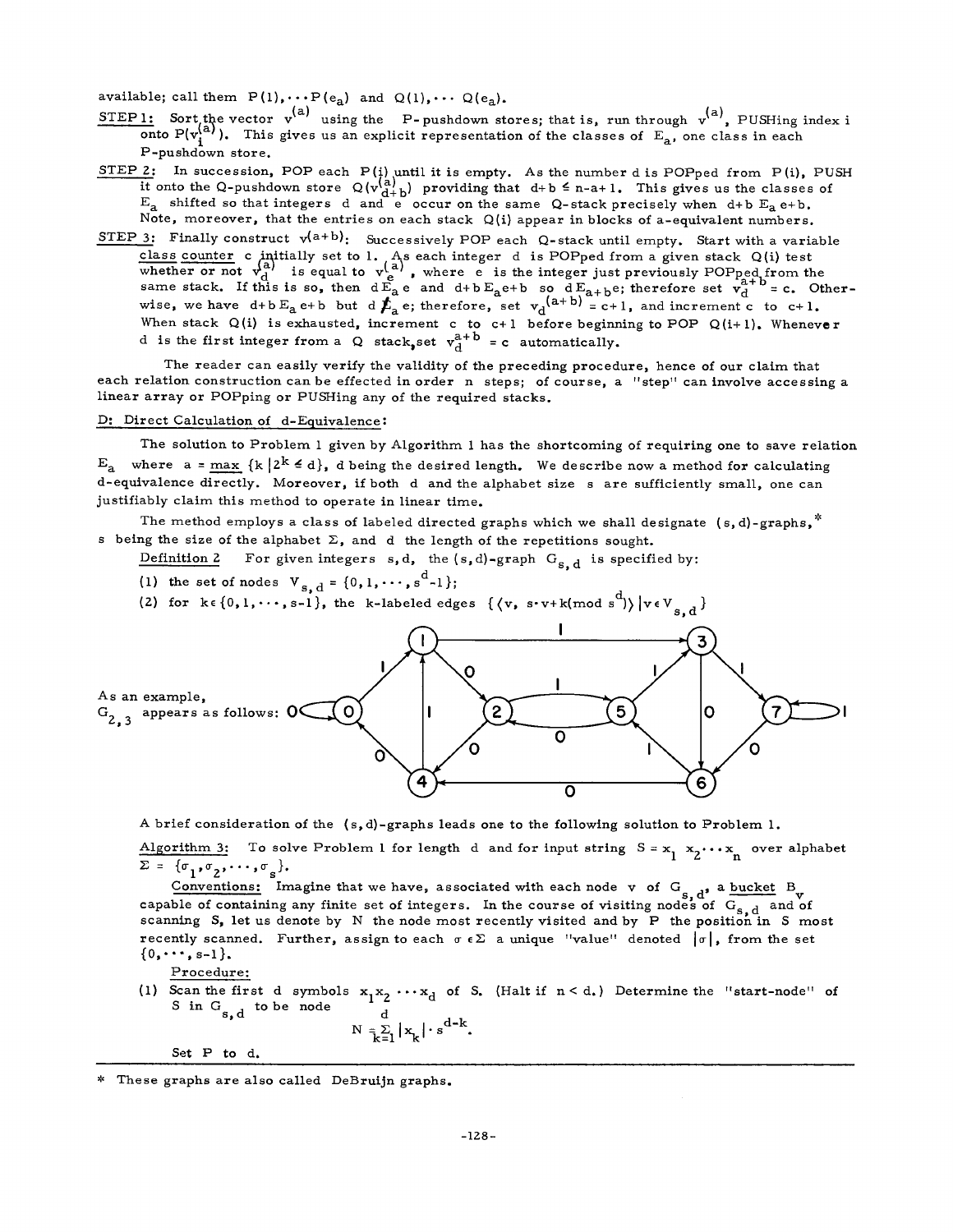available; call them  $P(1), \cdots P(e_{a})$  and  $Q(1), \cdots Q(e_{a}).$ 

- SIEPI: Sort the vector v' using the P-pushdown stores; that is, run through v<sup>'-'</sup>, PUSHing index i onto P(v<sub>i</sub><sup>(a)</sup>). This gives us an explicit representation of the classes of E<sub>a</sub>, one class in each P-pushdown store.
- SIEP 2: In succession, POP each  $P(j)$  until it is empty. As the number d is POPped from  $P(i)$ , PUSH it onto the Q-pushdown store  $Q(v_{d+b}^{(n)})$  providing that  $d+b \leq n-a+1$ . This gives us the classes of  $E_a$  shifted so that integers d and e occur on the same Q-stack precisely when d+b  $E_a$  e+b. Note, moreover, that the entries on each stack Q(i) appear in blocks of a-equivalent numbers.
- STEP 3: Finally construct  $v^{(a+b)}$ : Successively POP each Q-stack until empty. Start with a variable class counter c initially set to I. As each integer d is POPped from a given stack  $Q(i)$  test whether or not  $v_d^2$  is equal to  $v_d^2$ , where e is the integer just previously POPped from the same stack. If this is so, then  $dE_a e$  and  $d+bE_a e+b$  so  $dE_{a+b}e$ ; therefore set  $v_a^{-1}$  = c. Other wise, we have d+b $E_a$ e+b but d $E_a$ e; therefore, set  $v_A^{(a+1)}$  = c+1, and increment c to c+1. When stack  $\mathsf{Q}(i)$  is exhausted, increment c to c+1 before beginning to POP  $\mathsf{Q}(i+1)$ . Wheneve: d is the first integer from a Q stack, set  $v_A^{a+D}$  = c automatically.

The reader can easily verify the validity of the preceding procedure, hence of our claim that each relation construction can be effected in order n steps; of course, a "step" can involve accessing a linear array or POPping or PUSHing any of the required stacks.

# D: Direct Calculation of d-Equivalence :

The solution to Problem 1 given by Algorithm 1 has the shortcoming of requiring one to save relation  $E_a$  where  $a = max \{k | 2^k \le d\}$ , d being the desired length. We describe now a method for calculating d-equivalence directly. Moreover, if both d and the alphabet size s are sufficiently small, one can justifiably claim this method to operate in linear time.

The method employs a class of labeled directed graphs which we shall designate (s,d)-graphs,  $*$ s being the size of the alphabet  $\Sigma$ , and d the length of the repetitions sought.

Definition 2 For given integers s, d, the  $(s, d)$ -graph  $G_{s, d}$  is specified by:

- (1) the set of nodes  $V_{s, d} = \{0, 1, \dots, s^{d} 1\};$
- (2) for  $k \in \{0,1,\cdots,s-1\}$ , the k-labeled edges  $\{\langle v, s\cdot v+k \rangle \text{ mod } s^d\}$



A brief consideration of the (s,d)-graphs leads one to the following solution to Problem I. Algorithm 3: To solve Problem 1 for length d and for input string  $S = x_1, x_2, \ldots, x_n$  over alphabet  $\Sigma = {\sigma_1, \sigma_2, \cdots, \sigma_{\rm s}}$ .

Conventions: Imagine that we have, associated with each node v of G<sub>s, d</sub>, a bucket B<sub>v</sub> capable of containing any finite set of integers. In the course of visiting nodes of G<sub>s, d</sub> and of scanning S, let us denote by N the node most recently visited and by P the position in S most recently scanned. Further, assign to each  $\sigma \in \Sigma$  a unique "value" denoted  $|\sigma|$ , from the set  ${0, \cdots, s-1}.$ 

Procedure:

(1) Scan the first d symbols  $x_1x_2 \cdots x_d$  of S. (Halt if  $n < d$ .) Determine the "start-node" of S in  $G_{s,d}$  to be node

$$
N = \sum_{k=1}^{d} |x_k| \cdot s^{d-k}.
$$

Set P to d.

These graphs are also called DeBruijn graphs.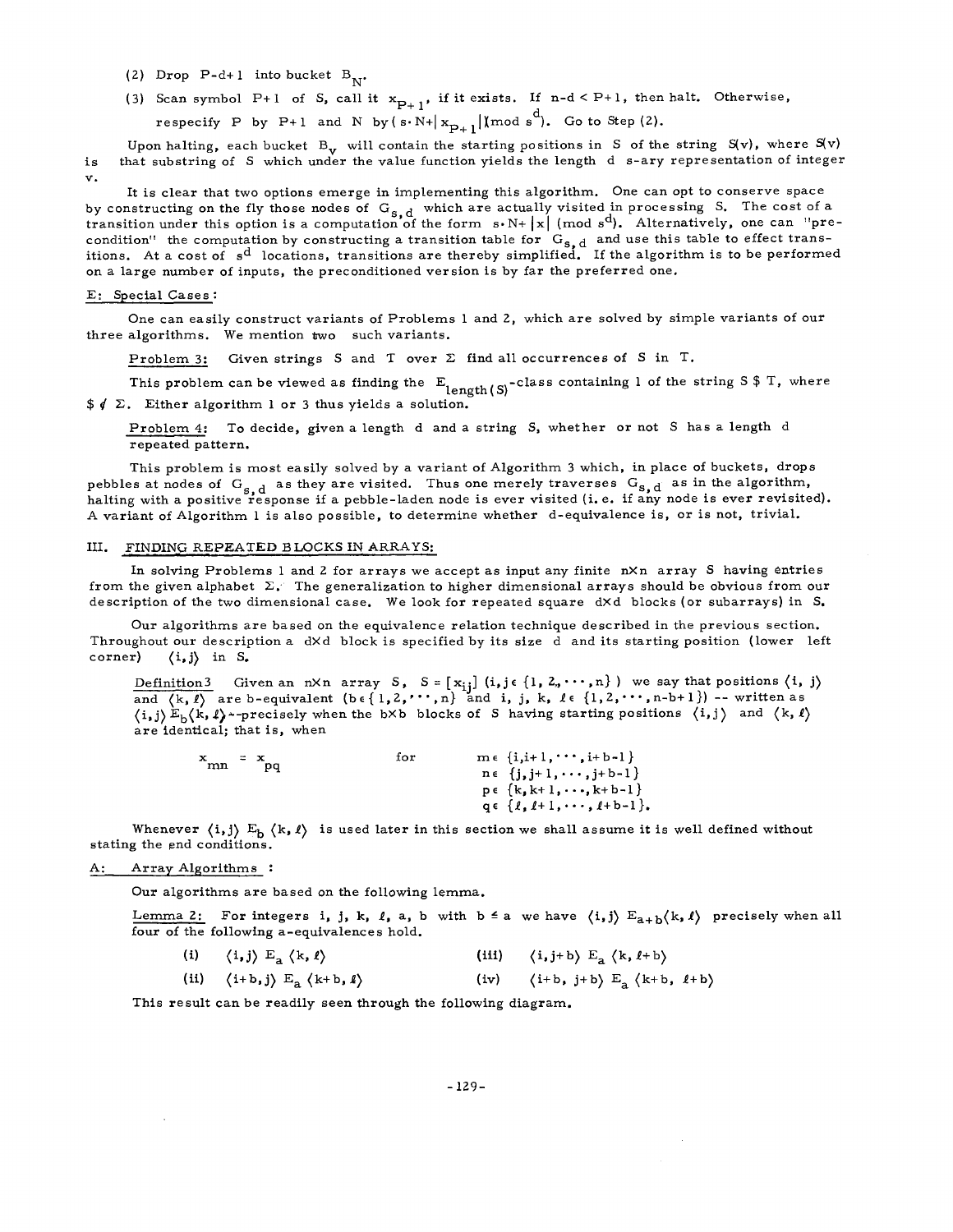- (2) Drop P-d+1 into bucket  $B_{N^*}$ .
- (3) Scan symbol P+1 of S, call it  $x_{p+1}$ , if it exists. If n-d < P+1, then halt. Otherwise,
	- respecify P by P+1 and N by  $(s \cdot N+|x_{p+1}|) \mod s^d$ . Go to Step (2).

is V. Upon halting, each bucket  $B_v$  will contain the starting positions in S of the string  $S(v)$ , where  $S(v)$ that substring of S which under the value function yields the length d s-ary representation of integer

It is clear that two options emerge in implementing this algorithm. One can opt to conserve space by constructing on the fly those nodes of  $G_{s,d}$  which are actually visited in processing S. The cost of a transition under this option is a computation of the form  $s \cdot N + |x|$  (mod  $s^d$ ). Alternatively, one can "precondition" the computation by constructing a transition table for  $G_{s, d}$  and use this table to effect transitions. At a cost of  $\, {\bf s}^{\bf d} \,$  locations, transitions are thereby simplified. If the algorithm is to be performed on a large number of inputs, the preconditioned version is by far the preferred one.

#### E: Special Cases :

One can easily construct variants of Problems 1 and 2, which are solved by simple variants of our three algorithms. We mention two such variants.

Problem 3: Given strings S and T over  $\Sigma$  find all occurrences of S in T.

This problem can be viewed as finding the  $E_{length(S)}$ -class containing 1 of the string S \$ T, where  $\frac{2}{3}$  /  $\Sigma$ . Either algorithm 1 or 3 thus yields a solution.

Problem 4: To decide, given a length d and a string S, whether or not S has a length d repeated pattern.

This problem is most easily solved by a variant of Algorithm 3 which, in place of buckets, drops pebbles at nodes of  $G_{s,d}$  as they are visited. Thus one merely traverses  $G_{s,d}$  as in the algorithm, halting with a positive response if a pebble-laden node is ever visited (i.e. if any node is ever revisited). A variant of Algorithm 1 is also possible, to determine whether d-equivalence is, or is not, trivial.

### III. FINDING REPEATED BLOCKS IN ARRAYS:

In solving Problems 1 and 2 for arrays we accept as input any finite  $n \times n$  array S having entries from the given alphabet  $\Sigma$ . The generalization to higher dimensional arrays should be obvious from our description of the two dimensional case. We look for repeated square dXd blocks (or subarrays) in S.

Our algorithms are based on the equivalence relation technique described in the previous section. Throughout our description a dXd block is specified by its size d and its starting position (lower left corner)  $\langle i, j \rangle$  in S.

Definition3 Given an nXn array S,  $S = [x_{ij}]$  (i,je $\{1, 2, \cdots, n\}$ ) we say that positions  $\langle i, j \rangle$ and  $\langle k,l\rangle$  are b-equivalent  $(b \in \{1,2, \cdots, n\})$  and i, j, k,  $l \in \{1,2,\cdots, n-b+1\})$  -- written as  $\langle i,j\rangle E_b\langle k,l\rangle$  -precisely when the bXb blocks of S having starting positions  $\langle i,j\rangle$  and  $\langle k,l\rangle$ are identical; that is, when

| $\mathbf x$ | $= x$ | for | $m \in \{i,i+1,\cdots,i+b-1\}$     |  |
|-------------|-------|-----|------------------------------------|--|
| mn          | . pq  |     | $n \in \{j, j+1, \cdots, j+b-1\}$  |  |
|             |       |     | $p \in \{k, k+1, \dots, k+b-1\}$   |  |
|             |       |     | $q \in \{l, l+1, \cdots, l+b-1\}.$ |  |

Whenever  $\{i, j\}$  E<sub>b</sub>  $\{k, l\}$  is used later in this section we shall assume it is well defined without stating the end conditions.

# A: Array Algorithms :

Our algorithms are based on the following lemma.

Lemma 2: For integers i, j, k, l, a, b with  $b \le a$  we have  $\langle i, j \rangle E_{a+b} \langle k, l \rangle$  precisely when all four of the following a-equivalences hold.

(i)  $\langle i, j \rangle \to_{a} \langle k, l \rangle$  (iii)  $\langle i, j+b \rangle \to_{a} \langle k, l+b \rangle$ (ii)  $\langle i+b,j\rangle E_a \langle k+b,l\rangle$  (iv)  $\langle i+b,j+b\rangle E_a \langle k+b,l+b\rangle$ 

This result can be readily seen through the following diagram.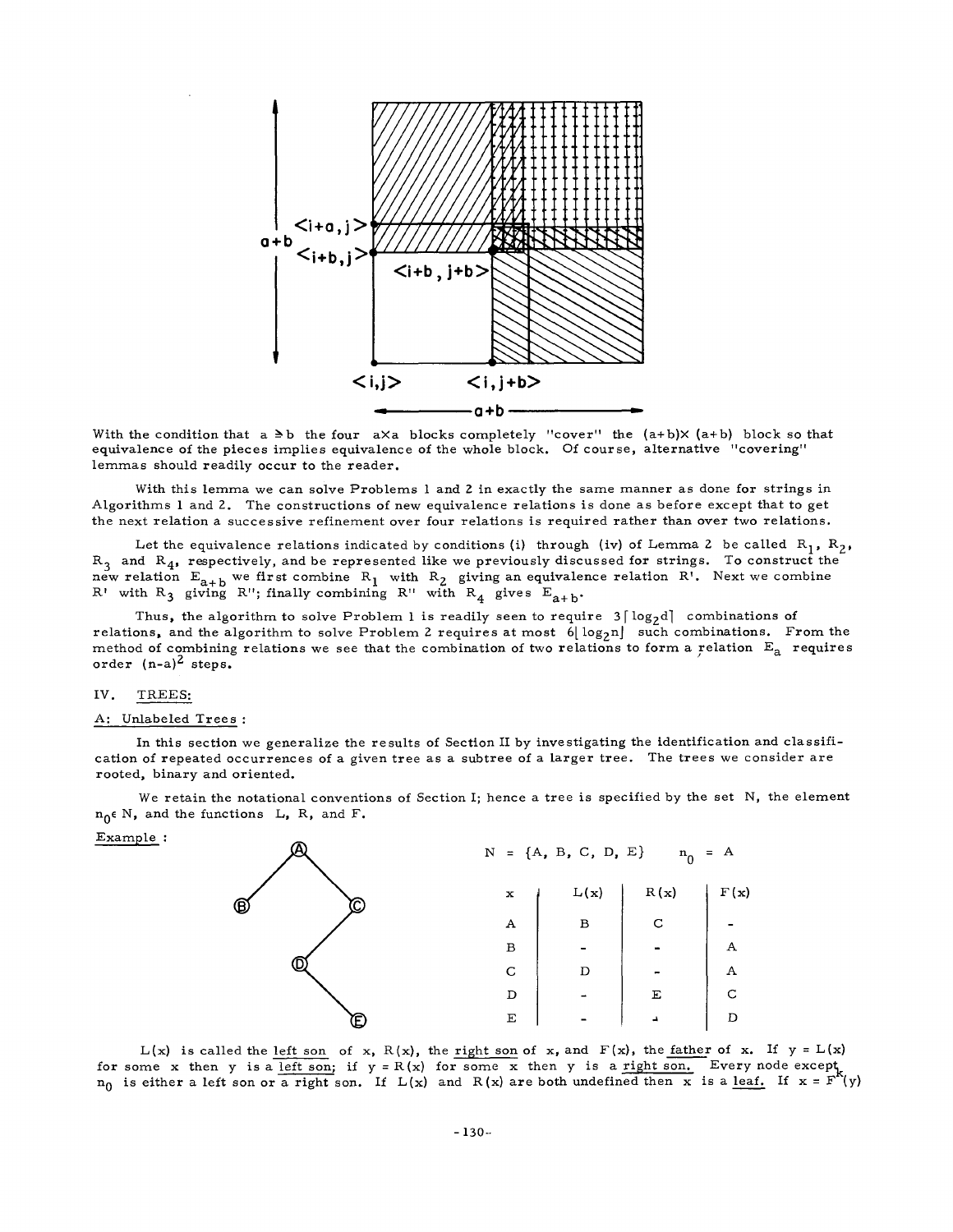

With the condition that  $a \geq b$  the four  $a \times a$  blocks completely "cover" the  $(a+b) \times (a+b)$  block so that equivalence of the pieces implies equivalence of the whole block. Of course, alternative "covering" lemmas should readily occur to the reader.

With this lemma we can solve Problems 1 and 2 in exactly the same manner as done for strings in Algorithms 1 and 2. The constructions of new equivalence relations is done as before except that to get the next relation a successive refinement over four relations is required rather than over two relations.

Let the equivalence relations indicated by conditions (i) through (iv) of Lemma 2 be called  $R_1$ ,  $R_2$ ,  $R_3$  and  $R_4$ , respectively, and be represented like we previously discussed for strings. To construct the new relation  $E_{a+b}$  we first combine  $R_1$  with  $R_2$  giving an equivalence relation  $R$ '. Next we combine R' with R<sub>3</sub> giving R''; finally combining R'' with R<sub>4</sub> gives  $E_{a+b}$ .

Thus, the algorithm to solve Problem 1 is readily seen to require  $3 \lceil \log_2 d \rceil$  combinations of relations, and the algorithm to solve Problem 2 requires at most  $6\lfloor \log_2 n \rfloor$  such combinations. From the method of combining relations we see that the combination of two relations to form a relation  $E_A$  requires order  $(n-a)^2$  steps.

# IV. TREES:

#### A: Unlabeled Trees :

In this section we generalize the results of Section II by investigating the identification and classification of repeated occurrences of a given tree as a subtree of a larger tree. The trees we consider are rooted, binary and oriented.

We retain the notational conventions of Section I; hence a tree is specified by the set N, the element  $n_0 \in N$ , and the functions L, R, and F.

Example :



 $L(x)$  is called the <u>left son</u> of x, R(x), the right son of x, and F(x), the father of x. If  $y = L(x)$ for some x then y is a left son; if  $y = R(x)$  for some x then y is a right son. Every node except  $n_0$  is either a left son or a right son. If  $L(x)$  and  $R(x)$  are both undefined then x is a <u>leaf.</u> If  $x = F^{K}(y)$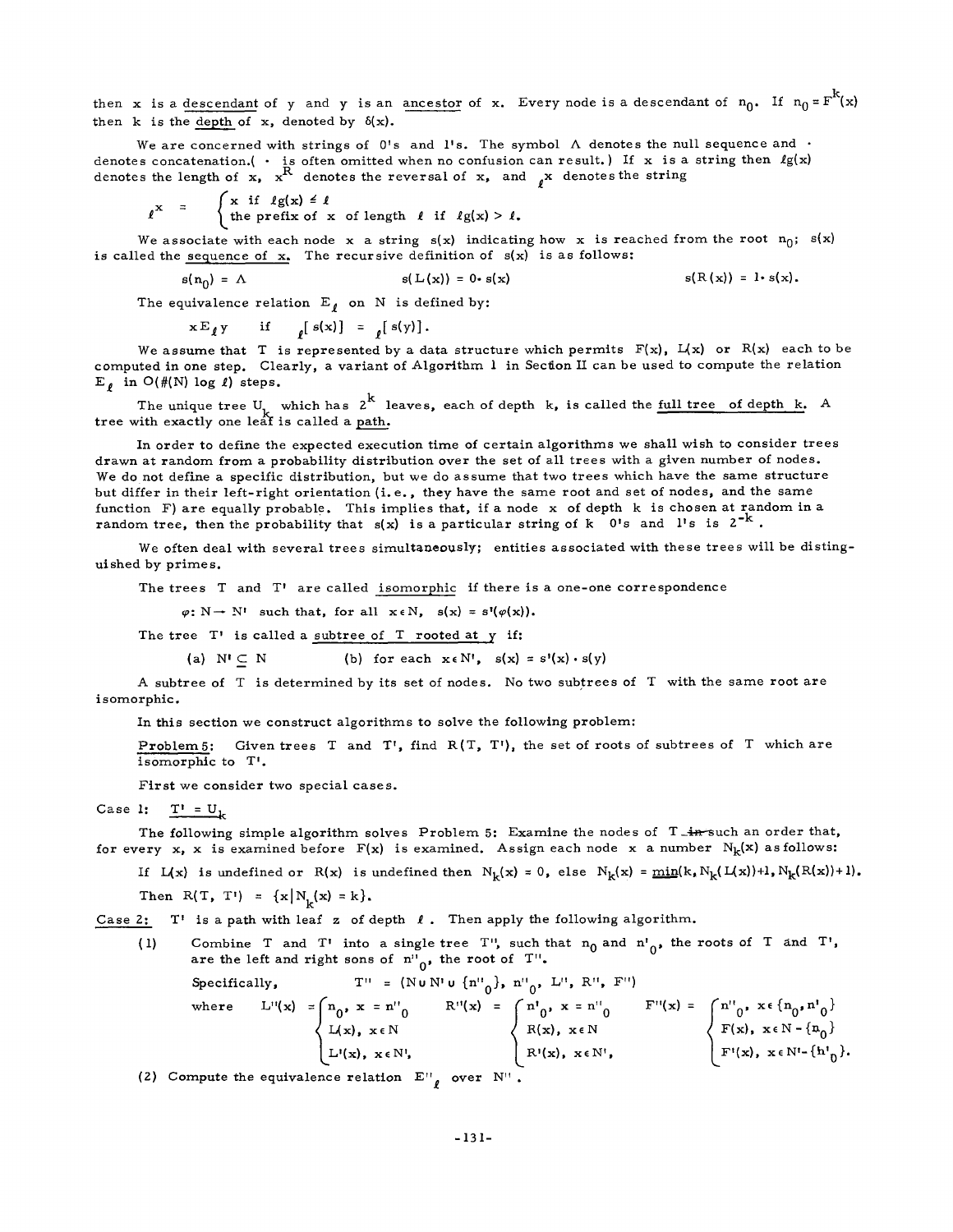then x is a descendant of y and y is an ancestor of x. Every node is a descendant of  $n_0$ . If  $n_0 = F^k(x)$ then k is the depth of  $x$ , denoted by  $\delta(x)$ .

We are concerned with strings of 0's and 1's. The symbol  $\Lambda$  denotes the null sequence and  $\cdot$ denotes concatenation.( • is often omitted when no confusion can result.) If x is a string then Ig(x) denotes the length of  $x$ ,  $x^*$  denotes the reversal of  $x$ , and  $\chi$  denotes the string

$$
\ell^{\mathbf{x}} = \begin{cases} \n\mathbf{x} & \text{if } \ell g(\mathbf{x}) \leq \ell \\ \n\text{the prefix of } \mathbf{x} & \text{of length } \ell \text{ if } \ell g(\mathbf{x}) > \ell. \n\end{cases}
$$

We associate with each node x a string  $s(x)$  indicating how x is reached from the root  $n_0$ ;  $s(x)$ is called the sequence of  $x$ . The recursive definition of  $s(x)$  is as follows:

$$
s(n_0) = \Lambda \qquad s(L(x)) = 0 \cdot s(x) \qquad s(R(x)) = 1 \cdot s(x).
$$

The equivalence relation  $E_{\ell}$  on N is defined by:

 $x E_{\ell} y$  if  $_{\ell}[s(x)] = {_{\ell}[s(y)]}.$ 

We assume that T is represented by a data structure which permits  $F(x)$ ,  $L(x)$  or  $R(x)$  each to be computed in one step. Clearly, a variant of Algorithm 1 in Section II can be used to compute the relation E, in  $O(\#(N) \log l)$  steps.

The unique tree U, which has 2 k leaves, each of depth k, is called the full tree of depth k. A tree with exactly one leaf is called a path.

In order to define the expected execution time of certain algorithms we shall wish to consider trees drawn at random from a probability distribution over the set of all trees with a given number of nodes. We do not define a specific distribution, but we do assume that two trees which have the same structure but differ in their left-right orientation (i.e., they have the same root and set of nodes, and the same function F) are equally probable. This implies that, if a node x of depth k is chosen at random in a random tree, then the probability that  $s(x)$  is a particular string of k  $0's$  and l's is  $2^{-k}$ .

We often deal with several trees simultaneously; entities associated with these trees will be distinguished by primes.

The trees T and T' are called isomorphic if there is a one-one correspondence

 $\varphi: N \to N'$  such that, for all  $x \in N$ ,  $s(x) = s'(\varphi(x))$ .

The tree T' is called a subtree of T rooted at y if:

(a)  $N' \subset N$  (b) for each  $x \in N'$ ,  $s(x) = s'(x) \cdot s(y)$ 

A subtree of T is determined by its set of nodes. No two subtrees of T with the same root are isomorphic,

In this section we construct algorithms to solve the following problem:

Problem5: Given trees T and T', find R(T, T'), the set of roots of subtrees of T which are isomorphic to T'.

First we consider two special cases.

Case I: 
$$
T' = U_k
$$

The following simple algorithm solves Problem 5: Examine the nodes of T<sub>-in</sub>-such an order that, for every x, x is examined before  $F(x)$  is examined. Assign each node x a number  $N_k(x)$  as follows:

If  $L(x)$  is undefined or  $R(x)$  is undefined then  $N_k(x) = 0$ , else  $N_k(x) = min(k, N_k(L(x))+1, N_k(R(x))+1)$ . Then  $R(T, T') = {x | N_k(x) = k}.$ 

Case 2:  $T'$  is a path with leaf z of depth  $\ell$ . Then apply the following algorithm.

(1) Combine T and T' into a single tree T', such that  $n_0$  and  $n'$ , the roots of T and T', are the left and right sons of  $n''_{0}$ , the root of T".

Specifically,  
\nwhere 
$$
L''(x) = \begin{cases} n_0, x = n''_0 \\ L(x), x \in N \end{cases}
$$
  $R''(x) = \begin{cases} n^1_0, x^n = n''_0 \\ R(x), x \in N \end{cases}$   
\n $R'(x), x \in N$   $R''(x) = \begin{cases} n^1_0, x = n''_0 \\ R(x), x \in N \end{cases}$   $F''(x) = \begin{cases} n''_0, x \in \{n_0, n^1_0\} \\ F(x), x \in N - \{n_0\} \\ F'(x), x \in N' - \{h^1_0\}.\end{cases}$ 

(2) Compute the equivalence relation  $E^{\prime\prime}$  over  $N^{\prime\prime}$ .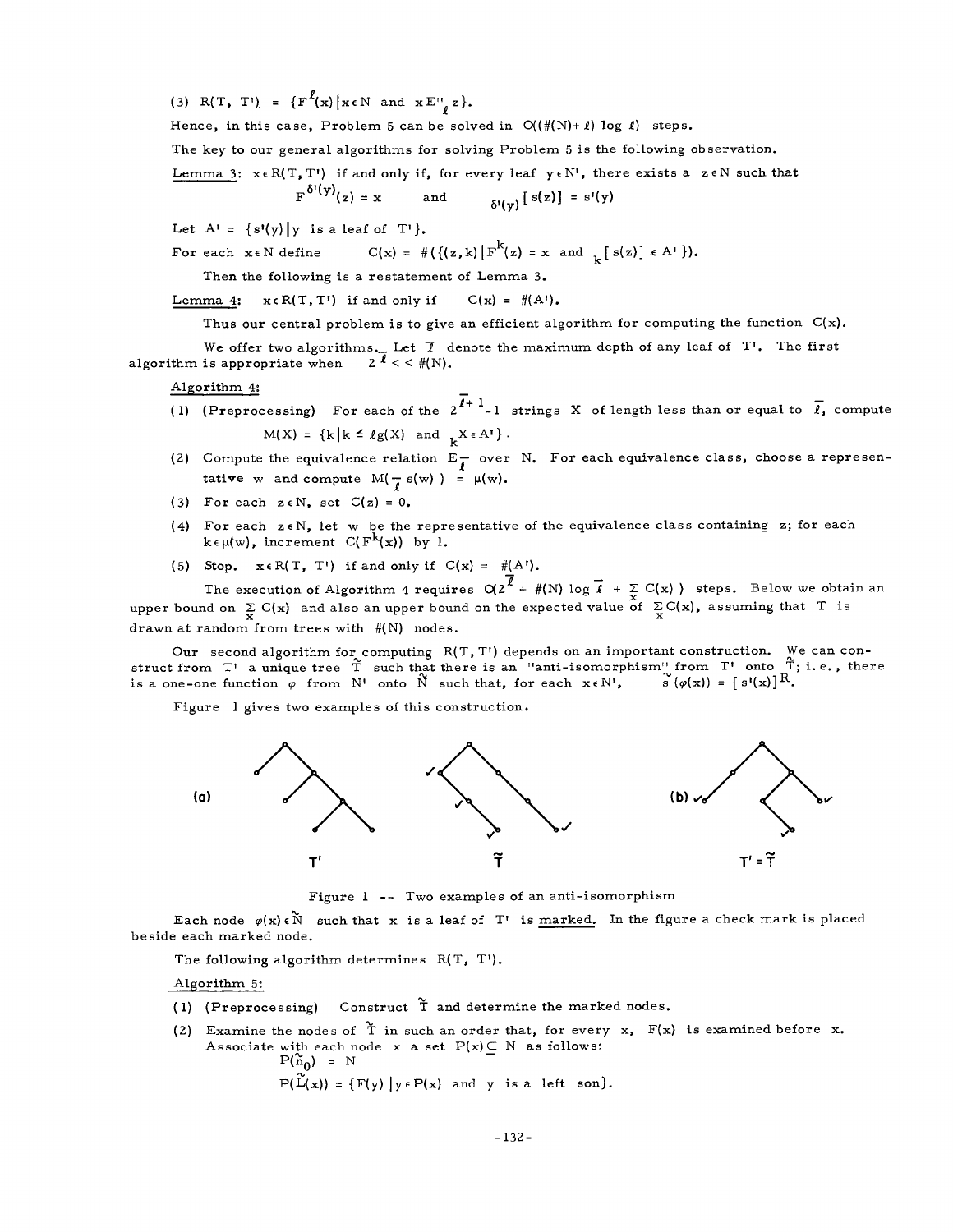(3) R(T, T') =  $\{F^{\ell}(x) | x \in N \text{ and } x E_{\ell, \ell}^{n} z\}.$ 

Hence, in this case, Problem 5 can be solved in  $O((\#(N)+1) \log 1)$  steps.

The key to our general algorithms for solving Problem 5 is the following observation.

Lemma 3:  $x \in R(T, T')$  if and only if, for every leaf  $y \in N'$ , there exists a  $z \in N$  such that

$$
F^{b'(\gamma)}(z) = x \quad \text{and} \quad s'(z) = s'(\gamma)
$$

Let  $A' = \{s'(y) | y \text{ is a leaf of } T \}.$ 

For each  $x \in N$  define  $C(x) = #({{(z,k) | F^{k}(z) = x} \text{ and } {K(z)} \in A^{1}}).$ 

Then the following is a restatement of Lemma 3.

Lemma 4:  $x \in R(T, T')$  if and only if  $C(x) = \#(A')$ .

Thus our central problem is to give an efficient algorithm for computing the function  $C(x)$ .

We offer two algorithms. Let  $\bar{\ell}$  denote the maximum depth of any leaf of T'. The first is appropriate when  $2 \bar{\ell} < \ell$  (N). algorithm is appropriate when

Algorithm 4:

- (1) (Preprocessing) For each of the  $2^{\overline{\ell}+1}-1$  strings X of length less than or equal to  $\overline{\ell}$ , compute  $M(X) = {k | k \leq \ell g(X) \text{ and } k X \in A^{\dagger}}.$
- (2) Compute the equivalence relation  $E_{\ell}^-$  over N. For each equivalence class, choose a representative w and compute  $M(-\frac{1}{\ell} s(w)) = \mu(w)$ .
- (3) For each  $z \in N$ , set  $C(z) = 0$ .
- (4) For each  $z \in N$ , let w be the representative of the equivalence class containing z; for each  $k \in \mu(w)$ , increment  $C(F^K(x))$  by 1.
- (5) Stop.  $x \in R(T, T')$  if and only if  $C(x) = #(A')$ .

The execution of Algorithm 4 requires  $Q(2^+ + f(N) \log l + \sum_{x} C(x)$  steps. Below we obtain an upper bound on the expected value of  $\sum_{x} C(x)$ , assuming that T is drawn at random from trees with #(N) nodes.

Our second algorithm for computing  $R(T, T')$  depends on an important construction. We can construct from T' a unique tree T such that there is an "anti-isomorphism" from T' onto T; i.e., there is a one-one function  $\varphi$  from N' onto  $\tilde{N}$  such that, for each  $x \in N'$ ,  $\tilde{s} (\varphi(x)) = [s'(x)]^R$ .

Figure 1 gives two examples of this construction,



Figure 1 -- Two examples of an anti-isomorphism

Each node  $\varphi(x) \in \widetilde{N}$  such that x is a leaf of T' is marked. In the figure a check mark is placed beside each marked node.

The following algorithm determines R(T, T').

Algorithm 5:

- (1) (Preprocessing) Construct  $\tilde{T}$  and determine the marked nodes.
- (2) Examine the nodes of  $\tilde{T}$  in such an order that, for every x,  $F(x)$  is examined before x. Associate with each node x a set  $P(x) \subset N$  as follows:  $P(\tilde{n}_0) = N$  $P(\tilde{L}(x)) = {F(y) | y \in P(x) \text{ and } y \text{ is a left son}}.$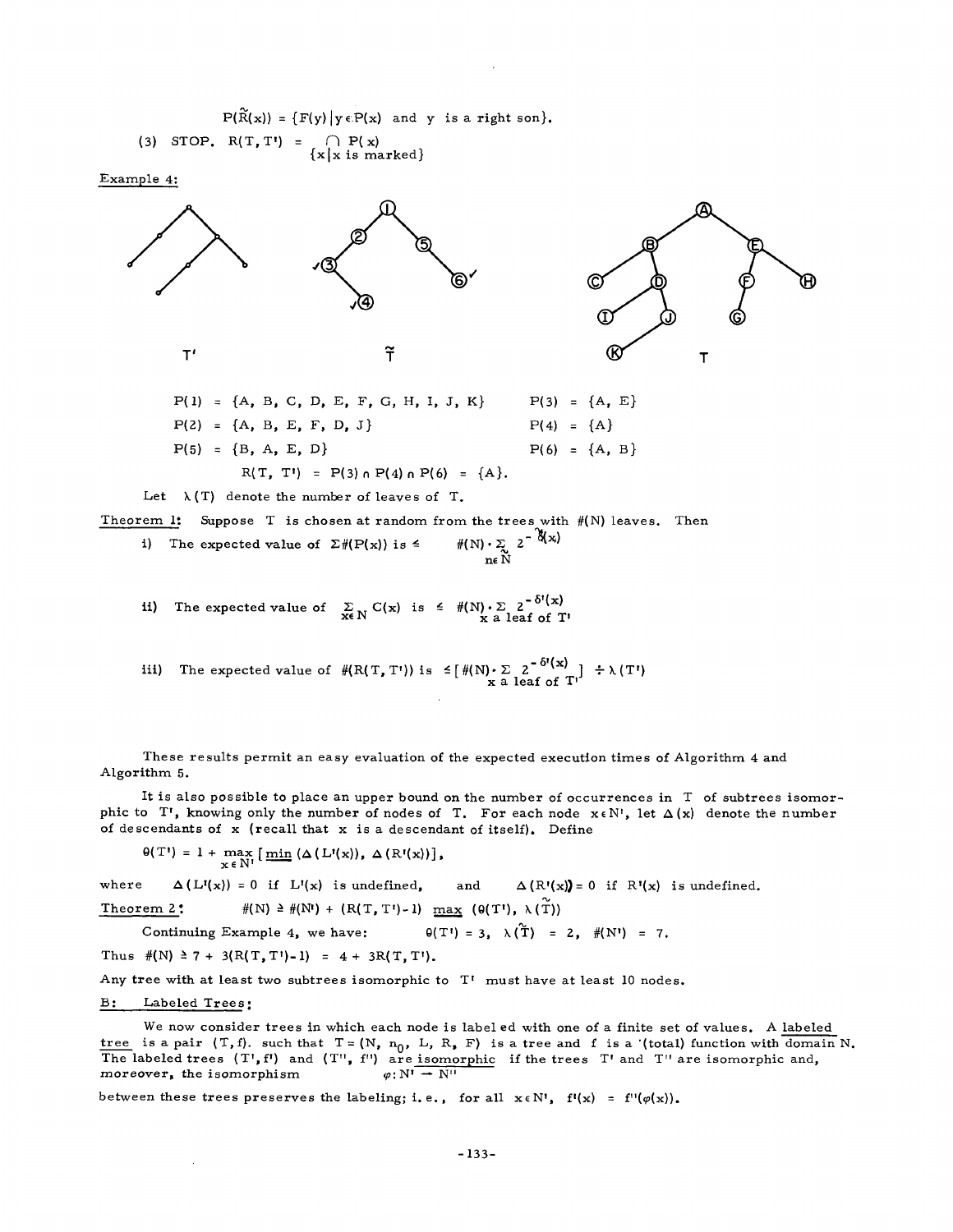$$
P(\widetilde{R}(x)) = \{F(y) | y \in P(x) \text{ and } y \text{ is a right son} \}.
$$
  
(3) STOP. 
$$
R(T, T') = \bigcap_{\{x \mid x \text{ is marked}\}} P(x)
$$

Example 4:



$$
P(2) = \{A, B, E, F, D, J\}
$$
  
\n
$$
P(3) = \{A, B, E, F, D, J\}
$$
  
\n
$$
P(4) = \{A\}
$$
  
\n
$$
P(5) = \{B, A, E, D\}
$$
  
\n
$$
R(T, T') = P(3) \cap P(4) \cap P(6) = \{A\}.
$$

Let  $\lambda(T)$  denote the number of leaves of T.

Theorem 1: Suppose T is chosen at random from the trees with  $\#(N)$  leaves. Then

i) The expected value of 
$$
\Sigma \# (P(x))
$$
 is  $\leq$   $\# (N) \cdot \sum_{n \in N} 2^{-\alpha (x)}$ 

ii) The expected value of  $\sum_{x \in N} C(x)$  is  $\leq$   $\frac{\#(N) \cdot \sum 2^{-\sigma \cdot x}}{x \cdot a}$  leaf of T'

iii) The expected value of  $#(R(T, T'))$  is  $\leq [+(N) \cdot \Sigma \sum_{x} 2^{-(N-1)} \div \lambda(T')$ 

These results permit an easy evaluation of the expected execution times of Algorithm 4 and Algorithm 5.

It is also possible to place an upper bound on the number of occurrences in T of subtrees isomorphic to T', knowing only the number of nodes of T. For each node  $x \in N'$ , let  $\Delta(x)$  denote the number of descendants of  $x$  (recall that  $x$  is a descendant of itself). Define

 $\Theta(T') = 1 + \max_{\mathbf{x} \in \mathbb{N}^1} \left[ \min_{\mathbf{m} \in \mathbb{N}^1} \left( \Delta \left( L'(\mathbf{x}) \right), \Delta \left( R'(\mathbf{x}) \right) \right) \right],$ 

where  $\Delta(L'(x)) = 0$  if  $L'(x)$  is undefined, and  $\Delta(R'(x)) = 0$  if  $R'(x)$  is undefined.

$$
\underline{\text{Theorem 2}}; \qquad \qquad \#(\mathbf{N}) \geq \#(\mathbf{N}) + (\mathbf{R}(\mathbf{T}, \mathbf{T}) - 1) \quad \underline{\text{max}} \quad (\theta(\mathbf{T}), \lambda(\mathbf{T}))
$$

Continuing Example 4, we have:  $\theta(T') = 3$ ,  $\lambda(\tilde{T}) = 2$ ,  $\#(N') = 7$ .

Thus  $\#(N) \geq 7 + 3(R(T, T') - 1) = 4 + 3R(T, T').$ 

Any tree with at least two subtrees isomorphic to T' must have at least I0 nodes.

# B: Labeled Trees:

 $\bar{z}$ 

We now consider trees in which each node is label ed with one of a finite set of values. A labeled tree is a pair (T,f). such that T=(N, n<sub>0</sub>, L, R, F) is a tree and f is a '(total) function with domain N. The labeled trees  $(T, f')$  and  $(T', f'')$  are isomorphic if the trees T' and T'' are isomorphic and, moreover, the isomorphism  $\varphi: N' \to N''$ 

between these trees preserves the labeling; i.e., for all  $x \in N'$ ,  $f'(x) = f''(\varphi(x))$ .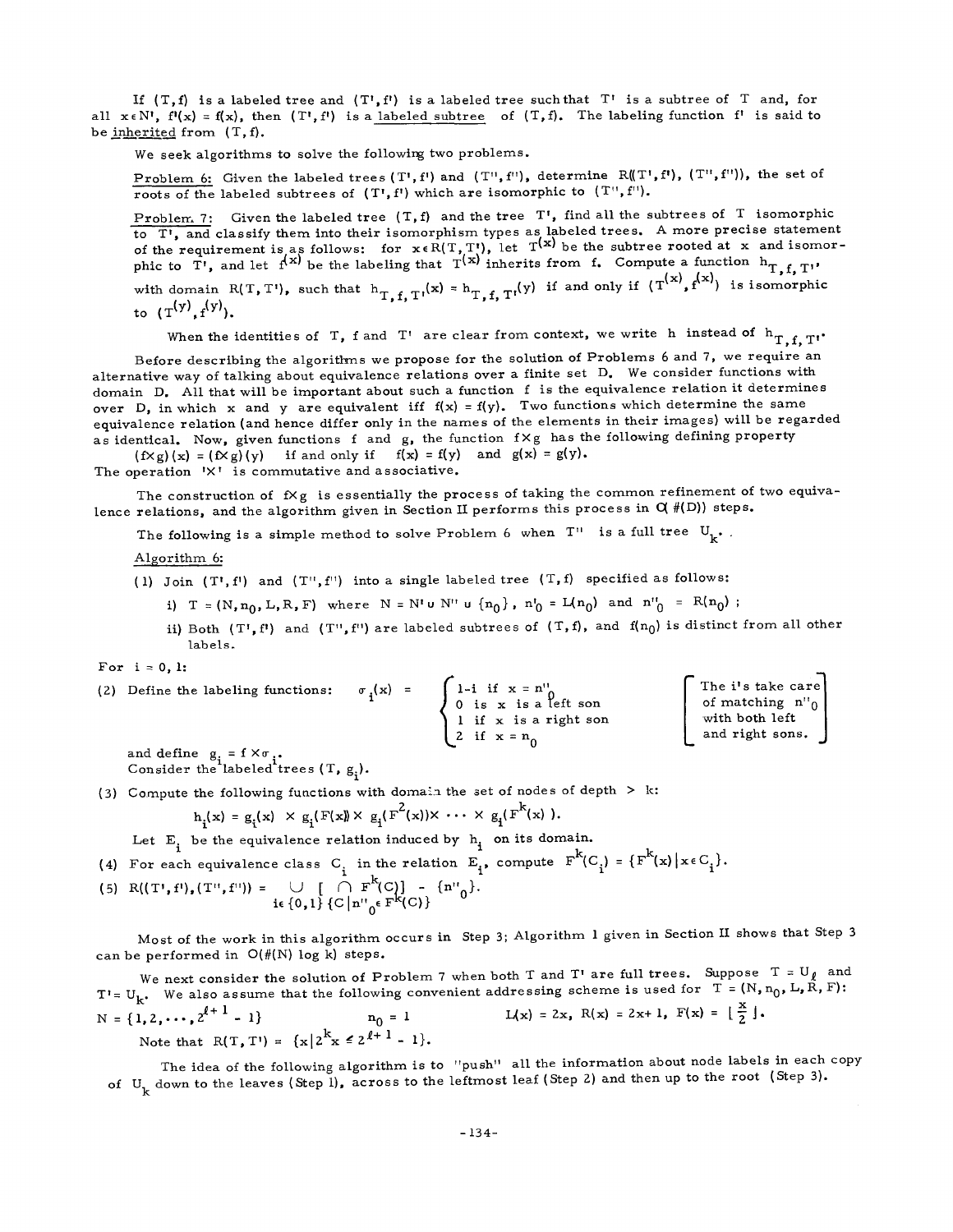If  $(T, f)$  is a labeled tree and  $(T', f')$  is a labeled tree such that  $T'$  is a subtree of T and, for all  $x \in N'$ ,  $f'(x) = f(x)$ , then  $(T', f')$  is a labeled subtree of  $(T, f)$ . The labeling function  $f'$  is said to be inherited from (T,f).

We seek algorithms to solve the following two problems.

Problem 6: Given the labeled trees  $(T^1, f^1)$  and  $(T^1, f^1)$ , determine  $R(T^1, f^1)$ ,  $(T^1, f^1)$ ), the set of roots of the labeled subtrees of  $(T^{\prime}, f^{\prime})$  which are isomorphic to  $(T^{\prime}, f^{\prime})$ .

Problem 7: Given the labeled tree  $(T, f)$  and the tree  $T'$ , find all the subtrees of T isomorphic to T', and classify them into their isomorphism types as labeled trees. A more precise statement<br>of the requirement is as follows: for  $x \in R(T, T)$ , let  $T^{(x)}$  be the subtree rooted at x and isomorphic to T', and let  $f^{(x)}$  be the labeling that  $T^{(x)}$  inherits from f. Compute a function  $h_{T,f,T}$ ,

with domain R(T, T), such that  $h_{T_{\text{c}}}, \dots, f_{T_{\text{c}}}$   $(x) = h_{T_{\text{c}}}, \dots, f_{T_{\text{c}}}$  only if (T is isomorphic to  $(T^{(y)}, f^{(y)})$ .

When the identities of T, f and T' are clear from context, we write h instead of  $h_{T,f,T}$ .

Before describing the algorithms we propose for the solution of Problems 6 and 7, we require an alternative way of talking about equivalence relations over a finite set D. We consider functions with domain D. All that will be important about such a function f is the equivalence relation it determines over D, in which x and y are equivalent iff  $f(x) = f(y)$ . Two functions which determine the same equivalence relation (and hence differ only in the names of the elements in their images) will be regarded as identical. Now, given functions f and g, the function  $f \times g$  has the following defining property

 $(f \times g)(x) = (f \times g)(y)$  if and only if  $f(x) = f(y)$  and  $g(x) = g(y)$ .

The operation  $\mathsf{I} \times \mathsf{I}$  is commutative and associative.

The construction of  $f \times g$  is essentially the process of taking the common refinement of two equivalence relations, and the algorithm given in Section II performs this process in  $O(H(D))$  steps.

The following is a simple method to solve Problem 6 when  $T''$  is a full tree  $U_{k^*}$ .

Algorithm 6:

(I) Join (T',f') and (T",f") into a single labeled tree (T, f) specified as follows:

i)  $T = (N, n_0, L, R, F)$  where  $N = N' \cup N'' \cup {n_0}$ ,  $n'_0 = L(n_0)$  and  $n''_0 = R(n_0)$ ;

ii) Both (T',f') and (T'',f'') are labeled subtrees of (T,f), and f(n<sub>0</sub>) is distinct from all other labels.

(2) Define the labeling functions:  $\sigma_i(x) = \int 1-i$  if  $x = n'$  $0$  is  ${\bf x}$  is a left son 1 if x is a right son Z if  $x = n_0$ I The i's take care of matching  $n_{0}$ with both  $\operatorname{\sf left}$ and right sons. |

and define  $g_i = f \times \sigma_i$ .<br>Consider the labeled trees  $(T, g_i)$ .

(3) Compute the following functions with domain the set of nodes of depth > k:

$$
h_{1}(x) = g_{1}(x) \times g_{1}(F(x)) \times g_{1}(F^{2}(x)) \times \cdots \times g_{1}(F^{K}(x)).
$$

Let  $E_i$  be the equivalence relation induced by  $h_i$  on its domain.

(4) For each equivalence class C<sub>1</sub> in the relation  $E_i$ , compute F(C<sub>i</sub>) = {F(x) | x EC<sub>i</sub>}.

(5) 
$$
R((T',f'),(T'',f'')) = \bigcup_{i \in \{0,1\}} \bigcap_{i \in [n'']_0 \in F^K(C)} \{n''_0\}.
$$

Most of the work in this algorithm occurs in Step 3; Algorithm 1 given in Section II shows that Step 3 can be performed in O(#(N) log k) steps.

We next consider the solution of Problem 7 when both T and T are full trees. Suppose  $T = U/\mu$  and T'= U<sub>k</sub>. We also assume that the following convenient addressing scheme is used for  $T = (N, n_0, L, F)$ :<br>N = {1, 2, ...,  $2^{l+1} - 1$ } n<sub>o</sub> = 1  $I(x) = 2x$ , R(x) = 2x+ 1, F(x) =  $\left[\frac{x}{2}\right]$ . Note that  $R(T, T') = {x|2^x x \le 2^{x+1} - 1}.$ 

The idea of the following algorithm is to "push" all the information about node labels in each copy of  $U_k$  down to the leaves (Step I), across to the leftmost leaf (Step 2) and then up to the root (Step 3).

For  $i = 0, 1$ :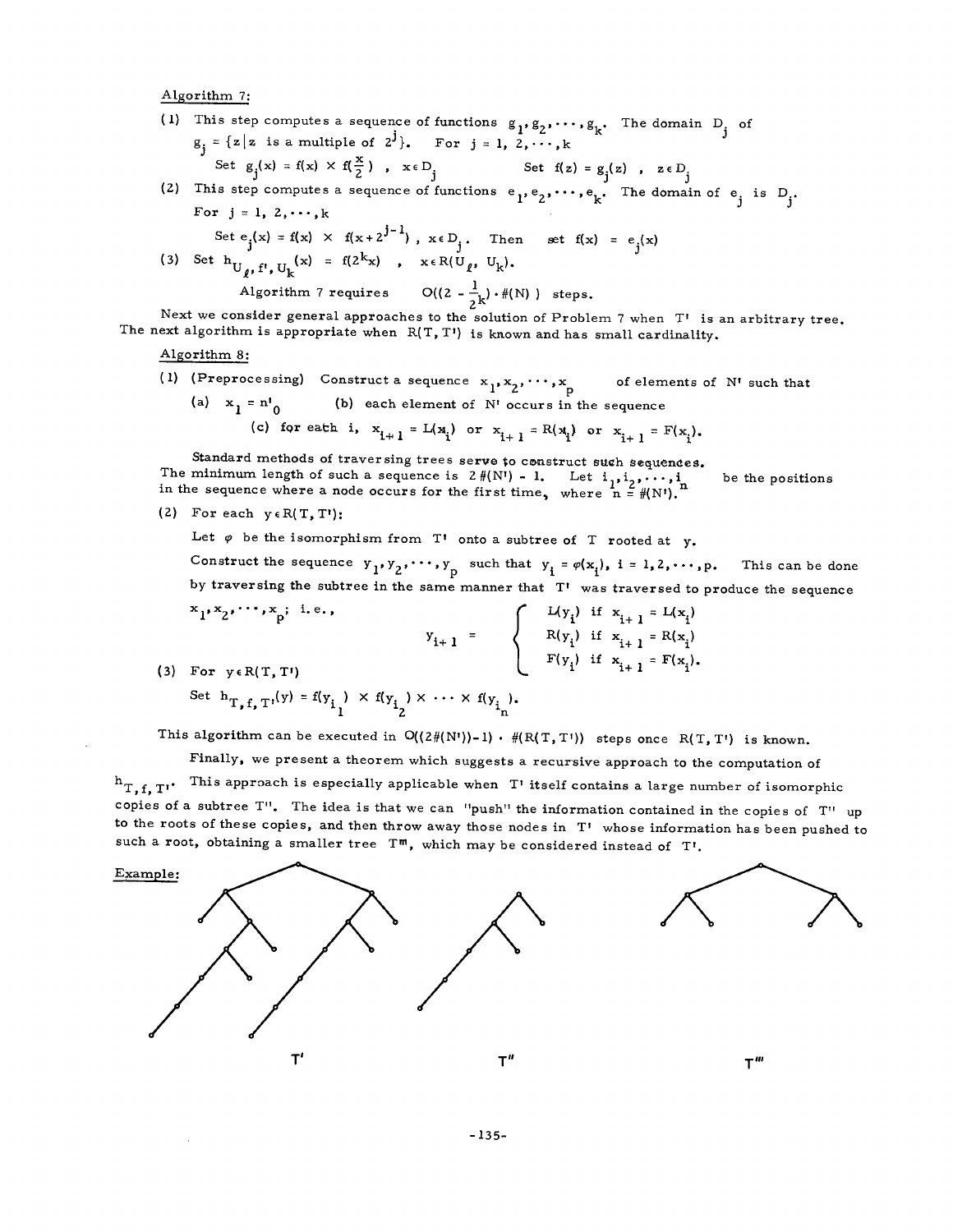Algorithm 7:

(1) This step computes a sequence of functions  $g_1, g_2, \dots, g_k$ . The domain D<sub>j</sub> of  $g_j = \{z \mid z \text{ is a multiple of } 2^j\}.$  For  $j = 1, 2, \ldots, k$ Set  $g_j(x) = f(x) \times f(\frac{1}{2})$ ,  $x \in D_j$  Set  $f(z) = g_j(z)$ ,  $z \in D_j$ 

(2) This step computes a sequence of functions  $e_1, e_2, \cdots, e_n$ . The domain of e. is D.. J J For  $j = 1, 2, \dots, k$  $\mathbf{r}$   $\mathbf{j} = 1, 2, \dots, n$ <br>Set  $\mathbf{e}$ .(x) = f(x)  $\times$  f(x+2<sup>j-1</sup>),  $\mathbf{x} \in D_j$ . Then set f(x) =  $\mathbf{e}_j(\mathbf{x})$ 

(3) Set 
$$
h_{U_{\ell}, f', U_{k}}(x) = f(2^{k}x)
$$
,  $x \in R(U_{\ell}, U_{k})$ .  
Algorithm 7 requires  $O((2 - \frac{1}{2}k) \cdot \#(N))$  steps.

Next we consider general approaches to the solution of Problem 7 when T' is an arbitrary tree. The next algorithm is appropriate when  $R(T, T')$  is known and has small cardinality.

### Algorithm 8:

(1) (Preprocessing) Construct a sequence  $x_1, x_2, \cdots, x_p$  of elements of N' such that (a)  $x_1 = n'_0$  (b) each element of N' occurs in the sequence

(c) for eath i,  $x_{i+1} = L(x_i)$  or  $x_{i+1} = R(x_i)$  or  $x_{i+1} = F(x_i)$ .

Standard methods of traversing trees serve to construct such sequences. The minimum length of such a sequence is  $2 \# (N!) - 1$ . Let  $i, j_1, \ldots, i$  be the positions in the sequence where a node occurs for the first time, where  $[n = #(N)]$ ."

(2) For each  $y \in R(T, T')$ :

Let  $\varphi$  be the isomorphism from  $T'$  onto a subtree of T rooted at y.

Construct the sequence  $y_1, y_2, \cdots, y_p$  such that  $y_i = \varphi(x_i)$ ,  $i = 1, 2, \cdots, p$ . This can be done by traversing the subtree in the same manner that T' was traversed to produce the sequence  $x_1, x_2, \cdots, x_n;$  i.e.,  $\int L(y_i)$  if  $x_{i+1} = L(x_i)$ 

$$
y_{i+1} = \begin{cases} \n\frac{\mu_{y_i}}{\mu_{i+1}} & \text{if } x_{i+1} = \mu_{x_i} \\
\frac{\mu_{y_i}}{\mu_{i+1}} & \text{if } x_{i+1} = \mu_{x_i} \\
\frac{\mu_{y_i}}{\mu_{i+1}} & \text{if } x_{i+1} = \mu_{x_i}.\n\end{cases}
$$

(3) For yeR(T,T')

Set 
$$
h_{T, f, T}(y) = f(y_{i}) \times f(y_{i}) \times \cdots \times f(y_{i})
$$
.

This algorithm can be executed in  $O((2\#(N'))-1) \cdot \#(R(T,T'))$  steps once  $R(T,T')$  is known.

Finally, we present a theorem which suggests a recursive approach to the computation of  $h_{T,f,T!}$ . This approach is especially applicable when T' itself contains a large number of isomorphic copies of a subtree T". The idea is that we can "push" the information contained in the copies of T" up to the roots of these copies, and then throw away those nodes in T' whose information has been pushed to such a root, obtaining a smaller tree  $T^m$ , which may be considered instead of  $T^i$ .